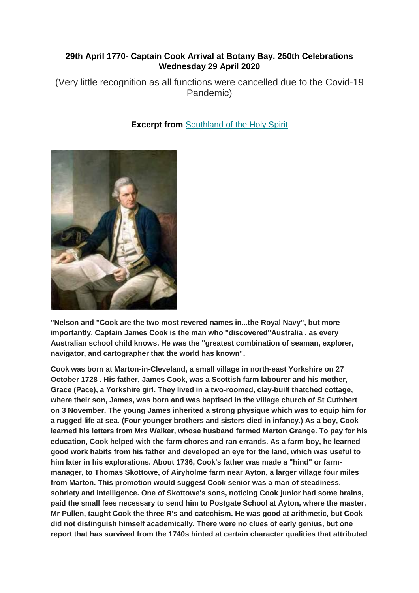## **29th April 1770- Captain Cook Arrival at Botany Bay. 250th Celebrations Wednesday 29 April 2020**

(Very little recognition as all functions were cancelled due to the Covid-19 Pandemic)



**Excerpt from [Southland of the Holy Spirit](https://nacl.us20.list-manage.com/track/click?u=f680825dfbd216c491d7b6366&id=a4664648b7&e=789509db08)** 

**"Nelson and "Cook are the two most revered names in...the Royal Navy", but more importantly, Captain James Cook is the man who "discovered"Australia , as every Australian school child knows. He was the "greatest combination of seaman, explorer, navigator, and cartographer that the world has known".**

**Cook was born at Marton-in-Cleveland, a small village in north-east Yorkshire on 27 October 1728 . His father, James Cook, was a Scottish farm labourer and his mother, Grace (Pace), a Yorkshire girl. They lived in a two-roomed, clay-built thatched cottage, where their son, James, was born and was baptised in the village church of St Cuthbert on 3 November. The young James inherited a strong physique which was to equip him for a rugged life at sea. (Four younger brothers and sisters died in infancy.) As a boy, Cook learned his letters from Mrs Walker, whose husband farmed Marton Grange. To pay for his education, Cook helped with the farm chores and ran errands. As a farm boy, he learned good work habits from his father and developed an eye for the land, which was useful to him later in his explorations. About 1736, Cook's father was made a "hind" or farmmanager, to Thomas Skottowe, of Airyholme farm near Ayton, a larger village four miles from Marton. This promotion would suggest Cook senior was a man of steadiness, sobriety and intelligence. One of Skottowe's sons, noticing Cook junior had some brains, paid the small fees necessary to send him to Postgate School at Ayton, where the master, Mr Pullen, taught Cook the three R's and catechism. He was good at arithmetic, but Cook did not distinguish himself academically. There were no clues of early genius, but one report that has survived from the 1740s hinted at certain character qualities that attributed**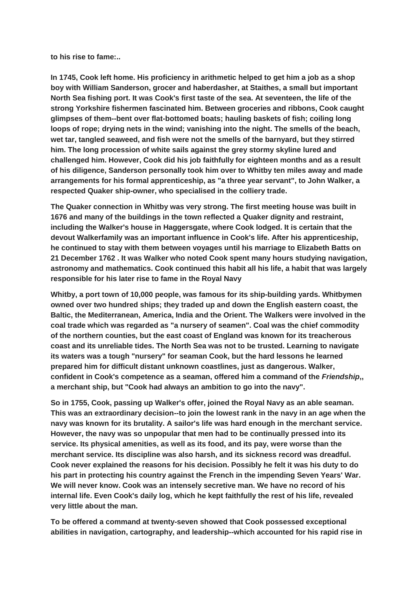**to his rise to fame:..**

**In 1745, Cook left home. His proficiency in arithmetic helped to get him a job as a shop boy with William Sanderson, grocer and haberdasher, at Staithes, a small but important North Sea fishing port. It was Cook's first taste of the sea. At seventeen, the life of the strong Yorkshire fishermen fascinated him. Between groceries and ribbons, Cook caught glimpses of them--bent over flat-bottomed boats; hauling baskets of fish; coiling long loops of rope; drying nets in the wind; vanishing into the night. The smells of the beach, wet tar, tangled seaweed, and fish were not the smells of the barnyard, but they stirred him. The long procession of white sails against the grey stormy skyline lured and challenged him. However, Cook did his job faithfully for eighteen months and as a result of his diligence, Sanderson personally took him over to Whitby ten miles away and made arrangements for his formal apprenticeship, as "a three year servant", to John Walker, a respected Quaker ship-owner, who specialised in the colliery trade.**

**The Quaker connection in Whitby was very strong. The first meeting house was built in 1676 and many of the buildings in the town reflected a Quaker dignity and restraint, including the Walker's house in Haggersgate, where Cook lodged. It is certain that the devout Walkerfamily was an important influence in Cook's life. After his apprenticeship, he continued to stay with them between voyages until his marriage to Elizabeth Batts on 21 December 1762 . It was Walker who noted Cook spent many hours studying navigation, astronomy and mathematics. Cook continued this habit all his life, a habit that was largely responsible for his later rise to fame in the Royal Navy**

**Whitby, a port town of 10,000 people, was famous for its ship-building yards. Whitbymen owned over two hundred ships; they traded up and down the English eastern coast, the Baltic, the Mediterranean, America, India and the Orient. The Walkers were involved in the coal trade which was regarded as "a nursery of seamen". Coal was the chief commodity of the northern counties, but the east coast of England was known for its treacherous coast and its unreliable tides. The North Sea was not to be trusted. Learning to navigate its waters was a tough "nursery" for seaman Cook, but the hard lessons he learned prepared him for difficult distant unknown coastlines, just as dangerous. Walker, confident in Cook's competence as a seaman, offered him a command of the** *Friendship***,, a merchant ship, but "Cook had always an ambition to go into the navy".**

**So in 1755, Cook, passing up Walker's offer, joined the Royal Navy as an able seaman. This was an extraordinary decision--to join the lowest rank in the navy in an age when the navy was known for its brutality. A sailor's life was hard enough in the merchant service. However, the navy was so unpopular that men had to be continually pressed into its service. Its physical amenities, as well as its food, and its pay, were worse than the merchant service. Its discipline was also harsh, and its sickness record was dreadful. Cook never explained the reasons for his decision. Possibly he felt it was his duty to do his part in protecting his country against the French in the impending Seven Years' War. We will never know. Cook was an intensely secretive man. We have no record of his internal life. Even Cook's daily log, which he kept faithfully the rest of his life, revealed very little about the man.**

**To be offered a command at twenty-seven showed that Cook possessed exceptional abilities in navigation, cartography, and leadership--which accounted for his rapid rise in**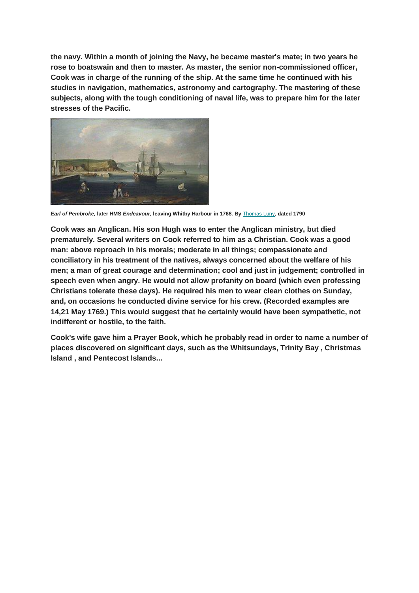**the navy. Within a month of joining the Navy, he became master's mate; in two years he rose to boatswain and then to master. As master, the senior non-commissioned officer, Cook was in charge of the running of the ship. At the same time he continued with his studies in navigation, mathematics, astronomy and cartography. The mastering of these subjects, along with the tough conditioning of naval life, was to prepare him for the later stresses of the Pacific.**



*Earl of Pembroke,* **later HMS** *Endeavour,* **leaving Whitby Harbour in 1768. By** [Thomas Luny](https://nacl.us20.list-manage.com/track/click?u=f680825dfbd216c491d7b6366&id=e03039c97c&e=789509db08)**, dated 1790**

**Cook was an Anglican. His son Hugh was to enter the Anglican ministry, but died prematurely. Several writers on Cook referred to him as a Christian. Cook was a good man: above reproach in his morals; moderate in all things; compassionate and conciliatory in his treatment of the natives, always concerned about the welfare of his men; a man of great courage and determination; cool and just in judgement; controlled in speech even when angry. He would not allow profanity on board (which even professing Christians tolerate these days). He required his men to wear clean clothes on Sunday, and, on occasions he conducted divine service for his crew. (Recorded examples are 14,21 May 1769.) This would suggest that he certainly would have been sympathetic, not indifferent or hostile, to the faith.**

**Cook's wife gave him a Prayer Book, which he probably read in order to name a number of places discovered on significant days, such as the Whitsundays, Trinity Bay , Christmas Island , and Pentecost Islands...**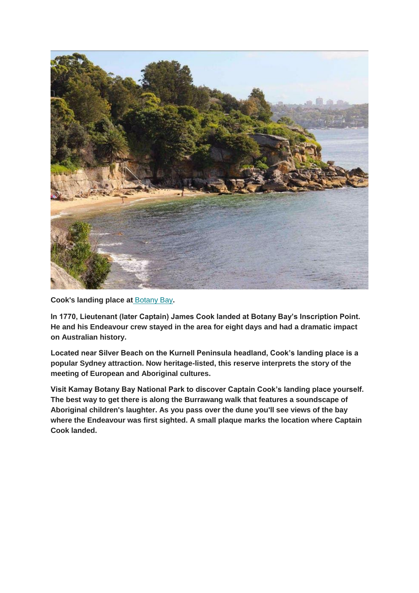

**Cook's landing place at** [Botany Bay](https://nacl.us20.list-manage.com/track/click?u=f680825dfbd216c491d7b6366&id=351416cbb1&e=789509db08)**.**

**In 1770, Lieutenant (later Captain) James Cook landed at Botany Bay's Inscription Point. He and his Endeavour crew stayed in the area for eight days and had a dramatic impact on Australian history.**

**Located near Silver Beach on the Kurnell Peninsula headland, Cook's landing place is a popular Sydney attraction. Now heritage-listed, this reserve interprets the story of the meeting of European and Aboriginal cultures.**

**Visit Kamay Botany Bay National Park to discover Captain Cook's landing place yourself. The best way to get there is along the Burrawang walk that features a soundscape of Aboriginal children's laughter. As you pass over the dune you'll see views of the bay where the Endeavour was first sighted. A small plaque marks the location where Captain Cook landed.**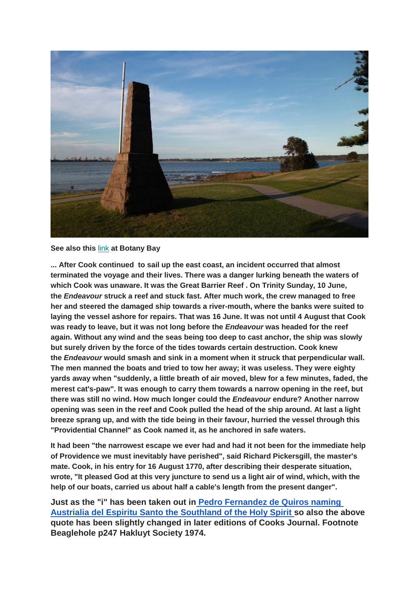

## **See also this** [link](https://nacl.us20.list-manage.com/track/click?u=f680825dfbd216c491d7b6366&id=1bd6eb06ad&e=789509db08) **at Botany Bay**

**... After Cook continued to sail up the east coast, an incident occurred that almost terminated the voyage and their lives. There was a danger lurking beneath the waters of which Cook was unaware. It was the Great Barrier Reef . On Trinity Sunday, 10 June, the** *Endeavour* **struck a reef and stuck fast. After much work, the crew managed to free her and steered the damaged ship towards a river-mouth, where the banks were suited to laying the vessel ashore for repairs. That was 16 June. It was not until 4 August that Cook was ready to leave, but it was not long before the** *Endeavour* **was headed for the reef again. Without any wind and the seas being too deep to cast anchor, the ship was slowly but surely driven by the force of the tides towards certain destruction. Cook knew the** *Endeavour* **would smash and sink in a moment when it struck that perpendicular wall. The men manned the boats and tried to tow her away; it was useless. They were eighty yards away when "suddenly, a little breath of air moved, blew for a few minutes, faded, the merest cat's-paw". It was enough to carry them towards a narrow opening in the reef, but there was still no wind. How much longer could the** *Endeavour* **endure? Another narrow opening was seen in the reef and Cook pulled the head of the ship around. At last a light breeze sprang up, and with the tide being in their favour, hurried the vessel through this "Providential Channel" as Cook named it, as he anchored in safe waters.**

**It had been "the narrowest escape we ever had and had it not been for the immediate help of Providence we must inevitably have perished", said Richard Pickersgill, the master's mate. Cook, in his entry for 16 August 1770, after describing their desperate situation, wrote, "It pleased God at this very juncture to send us a light air of wind, which, with the help of our boats, carried us about half a cable's length from the present danger".**

**Just as the "i" has been taken out in [Pedro Fernandez de Quiros naming](http://rupertgerritsen.tripod.com/pdf/published/Austrialia_Globe_72_2013_pp23-30.pdf) [Austrialia del Espiritu Santo the Southland of the Holy Spirit](http://rupertgerritsen.tripod.com/pdf/published/Austrialia_Globe_72_2013_pp23-30.pdf) so also the above quote has been slightly changed in later editions of Cooks Journal. Footnote Beaglehole p247 Hakluyt Society 1974.**